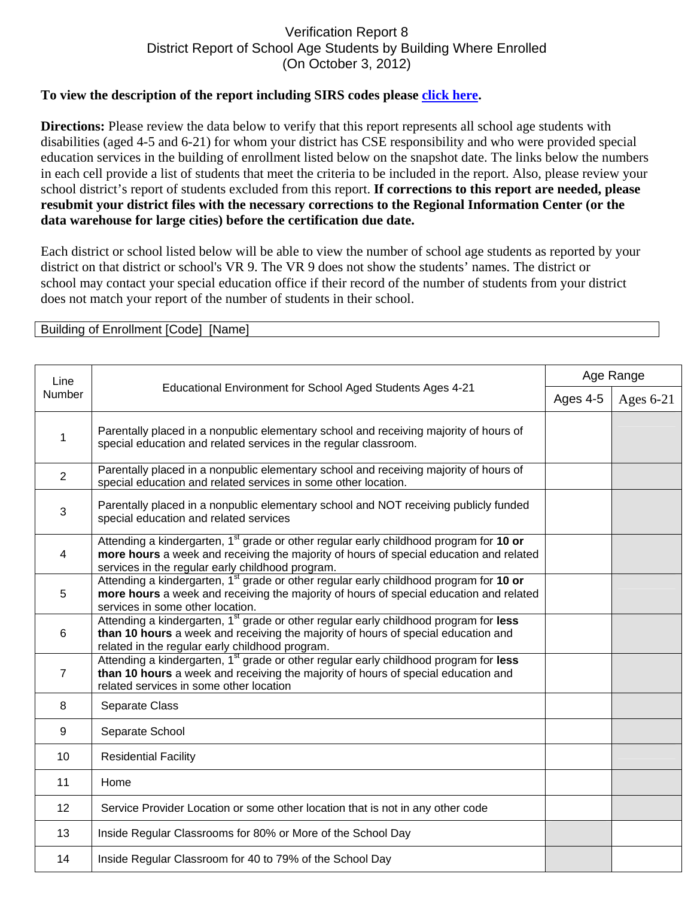## Verification Report 8 District Report of School Age Students by Building Where Enrolled (On October 3, 2012)

## **To view the description of the report including SIRS codes please click here.**

**Directions:** Please review the data below to verify that this report represents all school age students with disabilities (aged 4-5 and 6-21) for whom your district has CSE responsibility and who were provided special education services in the building of enrollment listed below on the snapshot date. The links below the numbers in each cell provide a list of students that meet the criteria to be included in the report. Also, please review your school district's report of students excluded from this report. **If corrections to this report are needed, please resubmit your district files with the necessary corrections to the Regional Information Center (or the data warehouse for large cities) before the certification due date.**

Each district or school listed below will be able to view the number of school age students as reported by your district on that district or school's VR 9. The VR 9 does not show the students' names. The district or school may contact your special education office if their record of the number of students from your district does not match your report of the number of students in their school.

Building of Enrollment [Code] [Name]

| Line<br>Number | Educational Environment for School Aged Students Ages 4-21                                                                                                                                                                                       | Age Range |           |
|----------------|--------------------------------------------------------------------------------------------------------------------------------------------------------------------------------------------------------------------------------------------------|-----------|-----------|
|                |                                                                                                                                                                                                                                                  | Ages 4-5  | Ages 6-21 |
| 1              | Parentally placed in a nonpublic elementary school and receiving majority of hours of<br>special education and related services in the regular classroom.                                                                                        |           |           |
| $\overline{2}$ | Parentally placed in a nonpublic elementary school and receiving majority of hours of<br>special education and related services in some other location.                                                                                          |           |           |
| $\mathbf{3}$   | Parentally placed in a nonpublic elementary school and NOT receiving publicly funded<br>special education and related services                                                                                                                   |           |           |
| 4              | Attending a kindergarten, 1 <sup>st</sup> grade or other regular early childhood program for 10 or<br>more hours a week and receiving the majority of hours of special education and related<br>services in the regular early childhood program. |           |           |
| 5              | Attending a kindergarten, 1 <sup>st</sup> grade or other regular early childhood program for 10 or<br>more hours a week and receiving the majority of hours of special education and related<br>services in some other location.                 |           |           |
| 6              | Attending a kindergarten, 1 <sup>st</sup> grade or other regular early childhood program for less<br>than 10 hours a week and receiving the majority of hours of special education and<br>related in the regular early childhood program.        |           |           |
| $\overline{7}$ | Attending a kindergarten, 1 <sup>st</sup> grade or other regular early childhood program for less<br>than 10 hours a week and receiving the majority of hours of special education and<br>related services in some other location                |           |           |
| 8              | Separate Class                                                                                                                                                                                                                                   |           |           |
| 9              | Separate School                                                                                                                                                                                                                                  |           |           |
| 10             | <b>Residential Facility</b>                                                                                                                                                                                                                      |           |           |
| 11             | Home                                                                                                                                                                                                                                             |           |           |
| 12             | Service Provider Location or some other location that is not in any other code                                                                                                                                                                   |           |           |
| 13             | Inside Regular Classrooms for 80% or More of the School Day                                                                                                                                                                                      |           |           |
| 14             | Inside Regular Classroom for 40 to 79% of the School Day                                                                                                                                                                                         |           |           |